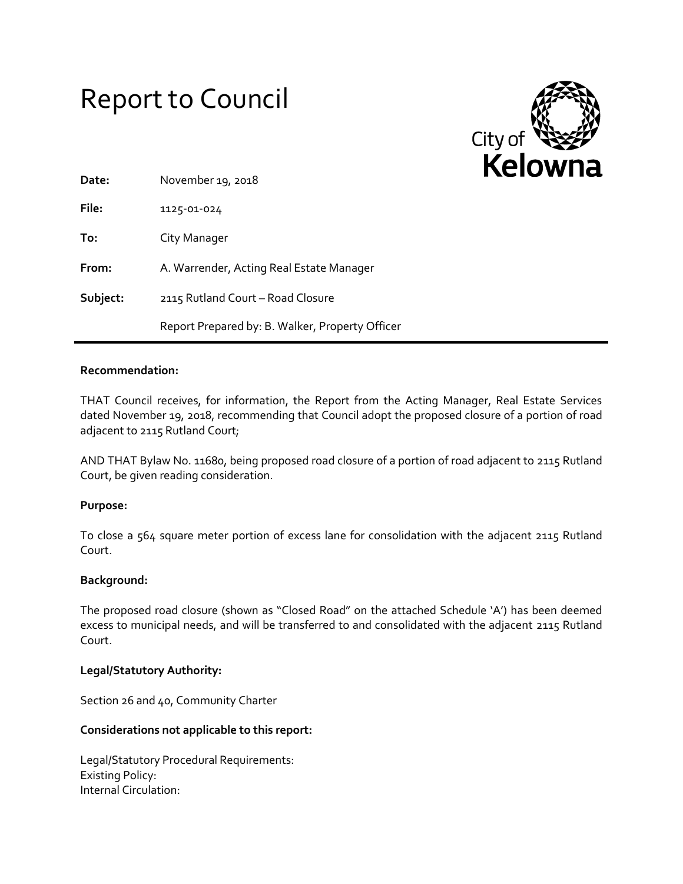# Report to Council



| Date:    | November 19, 2018                               |
|----------|-------------------------------------------------|
| File:    | 1125-01-024                                     |
| To:      | City Manager                                    |
| From:    | A. Warrender, Acting Real Estate Manager        |
| Subject: | 2115 Rutland Court - Road Closure               |
|          | Report Prepared by: B. Walker, Property Officer |

## **Recommendation:**

THAT Council receives, for information, the Report from the Acting Manager, Real Estate Services dated November 19, 2018, recommending that Council adopt the proposed closure of a portion of road adjacent to 2115 Rutland Court;

AND THAT Bylaw No. 11680, being proposed road closure of a portion of road adjacent to 2115 Rutland Court, be given reading consideration.

## **Purpose:**

To close a 564 square meter portion of excess lane for consolidation with the adjacent 2115 Rutland Court.

## **Background:**

The proposed road closure (shown as "Closed Road" on the attached Schedule 'A') has been deemed excess to municipal needs, and will be transferred to and consolidated with the adjacent 2115 Rutland Court.

## **Legal/Statutory Authority:**

Section 26 and 40, Community Charter

## **Considerations not applicable to this report:**

Legal/Statutory Procedural Requirements: Existing Policy: Internal Circulation: